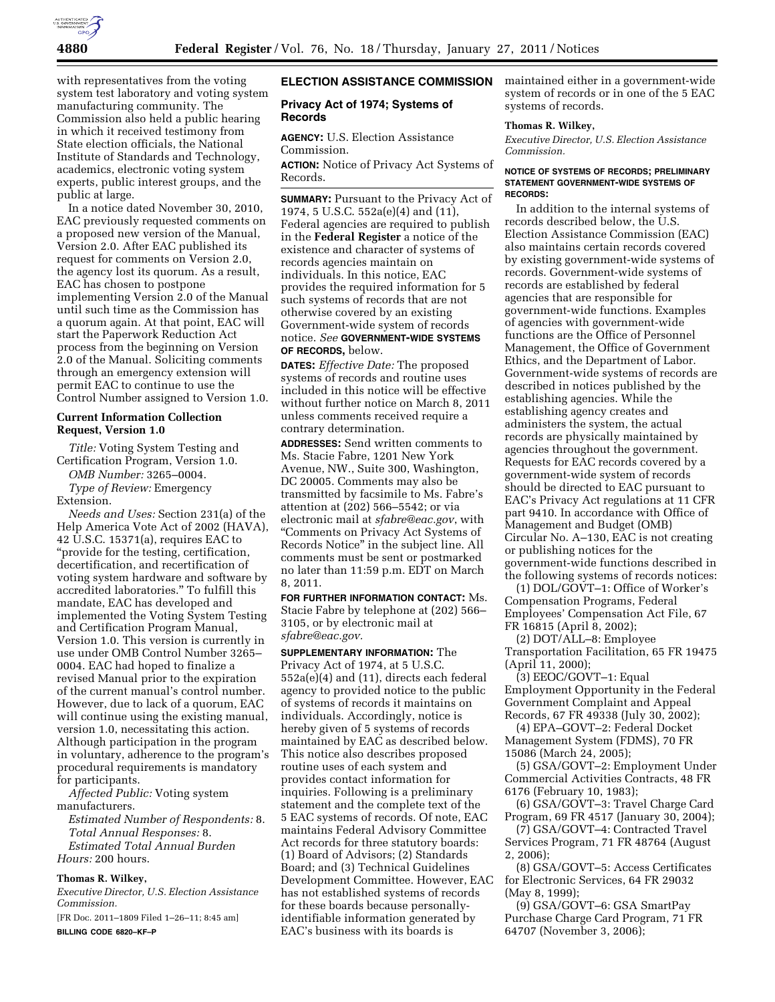

with representatives from the voting system test laboratory and voting system manufacturing community. The Commission also held a public hearing in which it received testimony from State election officials, the National Institute of Standards and Technology, academics, electronic voting system experts, public interest groups, and the public at large.

In a notice dated November 30, 2010, EAC previously requested comments on a proposed new version of the Manual, Version 2.0. After EAC published its request for comments on Version 2.0, the agency lost its quorum. As a result, EAC has chosen to postpone implementing Version 2.0 of the Manual until such time as the Commission has a quorum again. At that point, EAC will start the Paperwork Reduction Act process from the beginning on Version 2.0 of the Manual. Soliciting comments through an emergency extension will permit EAC to continue to use the Control Number assigned to Version 1.0.

# **Current Information Collection Request, Version 1.0**

*Title:* Voting System Testing and Certification Program, Version 1.0.

*OMB Number:* 3265–0004.

*Type of Review:* Emergency Extension.

*Needs and Uses:* Section 231(a) of the Help America Vote Act of 2002 (HAVA), 42 U.S.C. 15371(a), requires EAC to "provide for the testing, certification, decertification, and recertification of voting system hardware and software by accredited laboratories.'' To fulfill this mandate, EAC has developed and implemented the Voting System Testing and Certification Program Manual, Version 1.0. This version is currently in use under OMB Control Number 3265– 0004. EAC had hoped to finalize a revised Manual prior to the expiration of the current manual's control number. However, due to lack of a quorum, EAC will continue using the existing manual, version 1.0, necessitating this action. Although participation in the program in voluntary, adherence to the program's procedural requirements is mandatory for participants.

*Affected Public:* Voting system manufacturers.

*Estimated Number of Respondents:* 8. *Total Annual Responses:* 8. *Estimated Total Annual Burden Hours:* 200 hours.

# **Thomas R. Wilkey,**

*Executive Director, U.S. Election Assistance Commission.* 

[FR Doc. 2011–1809 Filed 1–26–11; 8:45 am] **BILLING CODE 6820–KF–P** 

# **ELECTION ASSISTANCE COMMISSION**

# **Privacy Act of 1974; Systems of Records**

**AGENCY:** U.S. Election Assistance Commission.

**ACTION:** Notice of Privacy Act Systems of Records.

**SUMMARY:** Pursuant to the Privacy Act of 1974, 5 U.S.C. 552a(e)(4) and (11), Federal agencies are required to publish in the **Federal Register** a notice of the existence and character of systems of records agencies maintain on individuals. In this notice, EAC provides the required information for 5 such systems of records that are not otherwise covered by an existing Government-wide system of records notice. *See* **GOVERNMENT-WIDE SYSTEMS OF RECORDS,** below.

**DATES:** *Effective Date:* The proposed systems of records and routine uses included in this notice will be effective without further notice on March 8, 2011 unless comments received require a contrary determination.

**ADDRESSES:** Send written comments to Ms. Stacie Fabre, 1201 New York Avenue, NW., Suite 300, Washington, DC 20005. Comments may also be transmitted by facsimile to Ms. Fabre's attention at (202) 566–5542; or via electronic mail at *[sfabre@eac.gov](mailto:sfabre@eac.gov)*, with ''Comments on Privacy Act Systems of Records Notice'' in the subject line. All comments must be sent or postmarked no later than 11:59 p.m. EDT on March 8, 2011.

**FOR FURTHER INFORMATION CONTACT:** Ms. Stacie Fabre by telephone at (202) 566– 3105, or by electronic mail at *[sfabre@eac.gov.](mailto:sfabre@eac.gov)* 

**SUPPLEMENTARY INFORMATION:** The Privacy Act of 1974, at 5 U.S.C. 552a(e)(4) and (11), directs each federal agency to provided notice to the public of systems of records it maintains on individuals. Accordingly, notice is hereby given of 5 systems of records maintained by EAC as described below. This notice also describes proposed routine uses of each system and provides contact information for inquiries. Following is a preliminary statement and the complete text of the 5 EAC systems of records. Of note, EAC maintains Federal Advisory Committee Act records for three statutory boards: (1) Board of Advisors; (2) Standards Board; and (3) Technical Guidelines Development Committee. However, EAC has not established systems of records for these boards because personallyidentifiable information generated by EAC's business with its boards is

maintained either in a government-wide system of records or in one of the 5 EAC systems of records.

## **Thomas R. Wilkey,**

*Executive Director, U.S. Election Assistance Commission.* 

#### **NOTICE OF SYSTEMS OF RECORDS; PRELIMINARY STATEMENT GOVERNMENT-WIDE SYSTEMS OF RECORDS:**

In addition to the internal systems of records described below, the U.S. Election Assistance Commission (EAC) also maintains certain records covered by existing government-wide systems of records. Government-wide systems of records are established by federal agencies that are responsible for government-wide functions. Examples of agencies with government-wide functions are the Office of Personnel Management, the Office of Government Ethics, and the Department of Labor. Government-wide systems of records are described in notices published by the establishing agencies. While the establishing agency creates and administers the system, the actual records are physically maintained by agencies throughout the government. Requests for EAC records covered by a government-wide system of records should be directed to EAC pursuant to EAC's Privacy Act regulations at 11 CFR part 9410. In accordance with Office of Management and Budget (OMB) Circular No. A–130, EAC is not creating or publishing notices for the government-wide functions described in the following systems of records notices:

(1) DOL/GOVT–1: Office of Worker's Compensation Programs, Federal Employees' Compensation Act File, 67 FR 16815 (April 8, 2002);

(2) DOT/ALL–8: Employee Transportation Facilitation, 65 FR 19475 (April 11, 2000);

(3) EEOC/GOVT–1: Equal Employment Opportunity in the Federal Government Complaint and Appeal Records, 67 FR 49338 (July 30, 2002);

(4) EPA–GOVT–2: Federal Docket Management System (FDMS), 70 FR 15086 (March 24, 2005);

(5) GSA/GOVT–2: Employment Under Commercial Activities Contracts, 48 FR 6176 (February 10, 1983);

(6) GSA/GOVT–3: Travel Charge Card Program, 69 FR 4517 (January 30, 2004);

(7) GSA/GOVT–4: Contracted Travel Services Program, 71 FR 48764 (August 2, 2006);

(8) GSA/GOVT–5: Access Certificates for Electronic Services, 64 FR 29032 (May 8, 1999);

(9) GSA/GOVT–6: GSA SmartPay Purchase Charge Card Program, 71 FR 64707 (November 3, 2006);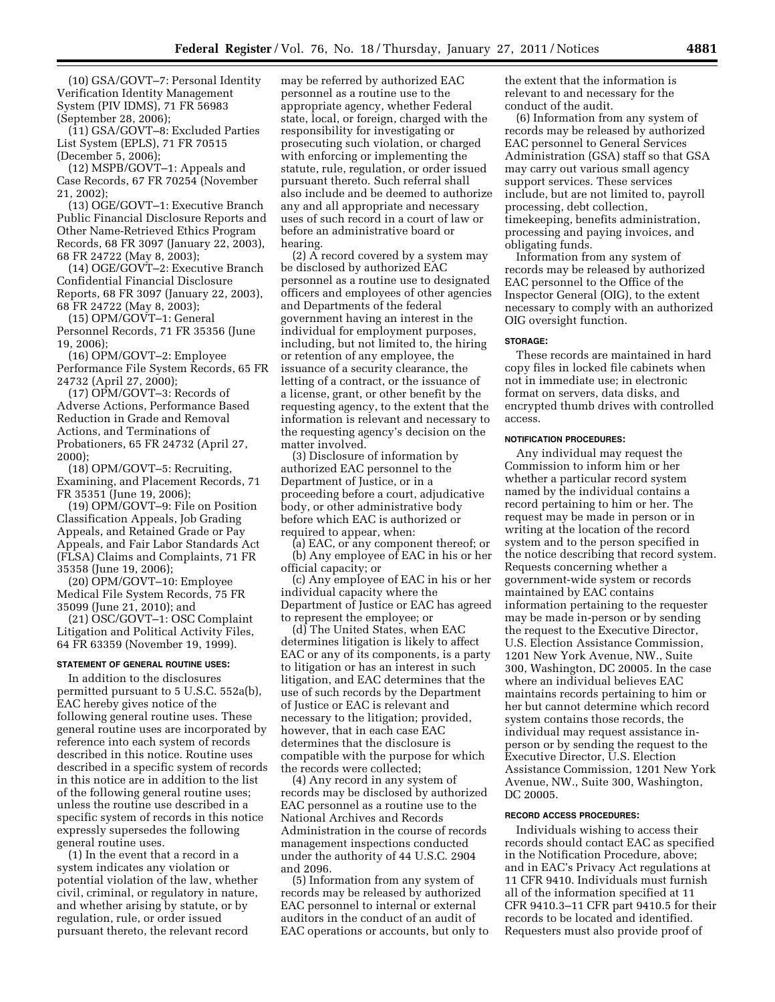(10) GSA/GOVT–7: Personal Identity Verification Identity Management System (PIV IDMS), 71 FR 56983 (September 28, 2006);

(11) GSA/GOVT–8: Excluded Parties List System (EPLS), 71 FR 70515 (December 5, 2006);

(12) MSPB/GOVT–1: Appeals and Case Records, 67 FR 70254 (November 21, 2002);

(13) OGE/GOVT–1: Executive Branch Public Financial Disclosure Reports and Other Name-Retrieved Ethics Program Records, 68 FR 3097 (January 22, 2003), 68 FR 24722 (May 8, 2003);

(14) OGE/GOVT–2: Executive Branch Confidential Financial Disclosure Reports, 68 FR 3097 (January 22, 2003), 68 FR 24722 (May 8, 2003);

(15) OPM/GOVT–1: General Personnel Records, 71 FR 35356 (June 19, 2006);

(16) OPM/GOVT–2: Employee Performance File System Records, 65 FR 24732 (April 27, 2000);

(17) OPM/GOVT–3: Records of Adverse Actions, Performance Based Reduction in Grade and Removal Actions, and Terminations of Probationers, 65 FR 24732 (April 27, 2000);

(18) OPM/GOVT–5: Recruiting, Examining, and Placement Records, 71 FR 35351 (June 19, 2006);

(19) OPM/GOVT–9: File on Position Classification Appeals, Job Grading Appeals, and Retained Grade or Pay Appeals, and Fair Labor Standards Act (FLSA) Claims and Complaints, 71 FR 35358 (June 19, 2006);

(20) OPM/GOVT–10: Employee Medical File System Records, 75 FR 35099 (June 21, 2010); and

(21) OSC/GOVT–1: OSC Complaint Litigation and Political Activity Files, 64 FR 63359 (November 19, 1999).

# **STATEMENT OF GENERAL ROUTINE USES:**

In addition to the disclosures permitted pursuant to 5 U.S.C. 552a(b), EAC hereby gives notice of the following general routine uses. These general routine uses are incorporated by reference into each system of records described in this notice. Routine uses described in a specific system of records in this notice are in addition to the list of the following general routine uses; unless the routine use described in a specific system of records in this notice expressly supersedes the following general routine uses.

(1) In the event that a record in a system indicates any violation or potential violation of the law, whether civil, criminal, or regulatory in nature, and whether arising by statute, or by regulation, rule, or order issued pursuant thereto, the relevant record

may be referred by authorized EAC personnel as a routine use to the appropriate agency, whether Federal state, local, or foreign, charged with the responsibility for investigating or prosecuting such violation, or charged with enforcing or implementing the statute, rule, regulation, or order issued pursuant thereto. Such referral shall also include and be deemed to authorize any and all appropriate and necessary uses of such record in a court of law or before an administrative board or hearing.

(2)  $\overline{A}$  record covered by a system may be disclosed by authorized EAC personnel as a routine use to designated officers and employees of other agencies and Departments of the federal government having an interest in the individual for employment purposes, including, but not limited to, the hiring or retention of any employee, the issuance of a security clearance, the letting of a contract, or the issuance of a license, grant, or other benefit by the requesting agency, to the extent that the information is relevant and necessary to the requesting agency's decision on the matter involved.

(3) Disclosure of information by authorized EAC personnel to the Department of Justice, or in a proceeding before a court, adjudicative body, or other administrative body before which EAC is authorized or required to appear, when:

(a) EAC, or any component thereof; or (b) Any employee of EAC in his or her official capacity; or

(c) Any employee of EAC in his or her individual capacity where the Department of Justice or EAC has agreed to represent the employee; or

(d) The United States, when EAC determines litigation is likely to affect EAC or any of its components, is a party to litigation or has an interest in such litigation, and EAC determines that the use of such records by the Department of Justice or EAC is relevant and necessary to the litigation; provided, however, that in each case EAC determines that the disclosure is compatible with the purpose for which the records were collected;

(4) Any record in any system of records may be disclosed by authorized EAC personnel as a routine use to the National Archives and Records Administration in the course of records management inspections conducted under the authority of 44 U.S.C. 2904 and 2096.

(5) Information from any system of records may be released by authorized EAC personnel to internal or external auditors in the conduct of an audit of EAC operations or accounts, but only to the extent that the information is relevant to and necessary for the conduct of the audit.

(6) Information from any system of records may be released by authorized EAC personnel to General Services Administration (GSA) staff so that GSA may carry out various small agency support services. These services include, but are not limited to, payroll processing, debt collection, timekeeping, benefits administration, processing and paying invoices, and obligating funds.

Information from any system of records may be released by authorized EAC personnel to the Office of the Inspector General (OIG), to the extent necessary to comply with an authorized OIG oversight function.

## **STORAGE:**

These records are maintained in hard copy files in locked file cabinets when not in immediate use; in electronic format on servers, data disks, and encrypted thumb drives with controlled access.

#### **NOTIFICATION PROCEDURES:**

Any individual may request the Commission to inform him or her whether a particular record system named by the individual contains a record pertaining to him or her. The request may be made in person or in writing at the location of the record system and to the person specified in the notice describing that record system. Requests concerning whether a government-wide system or records maintained by EAC contains information pertaining to the requester may be made in-person or by sending the request to the Executive Director, U.S. Election Assistance Commission, 1201 New York Avenue, NW., Suite 300, Washington, DC 20005. In the case where an individual believes EAC maintains records pertaining to him or her but cannot determine which record system contains those records, the individual may request assistance inperson or by sending the request to the Executive Director, U.S. Election Assistance Commission, 1201 New York Avenue, NW., Suite 300, Washington, DC 20005.

#### **RECORD ACCESS PROCEDURES:**

Individuals wishing to access their records should contact EAC as specified in the Notification Procedure, above; and in EAC's Privacy Act regulations at 11 CFR 9410. Individuals must furnish all of the information specified at 11 CFR 9410.3–11 CFR part 9410.5 for their records to be located and identified. Requesters must also provide proof of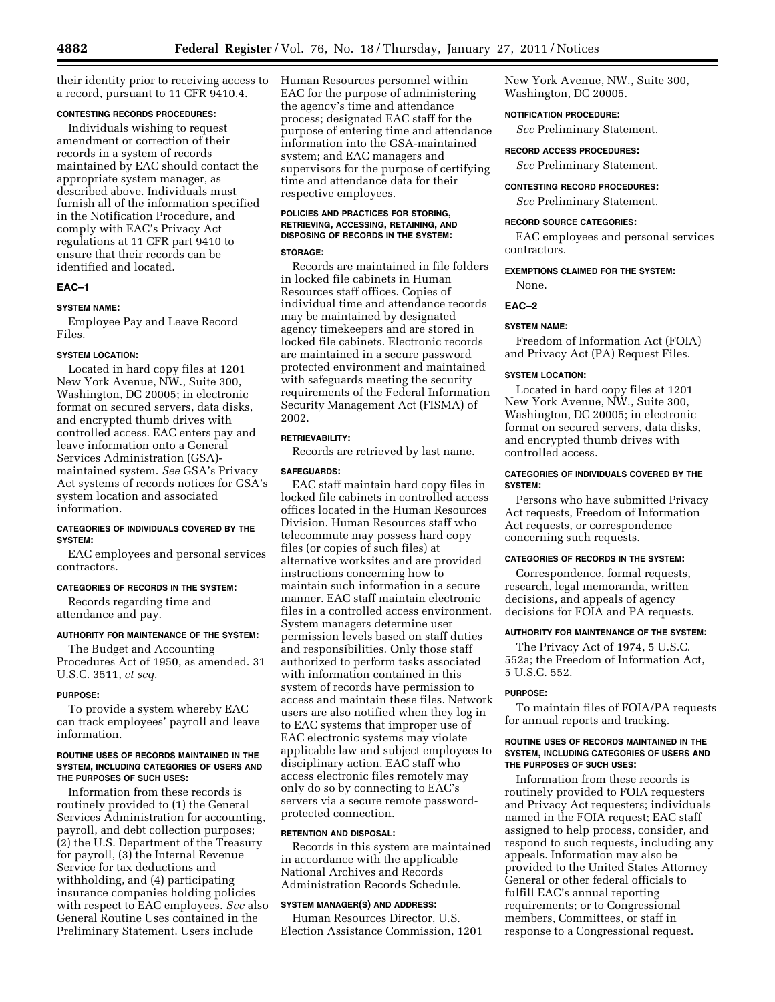their identity prior to receiving access to a record, pursuant to 11 CFR 9410.4.

# **CONTESTING RECORDS PROCEDURES:**

Individuals wishing to request amendment or correction of their records in a system of records maintained by EAC should contact the appropriate system manager, as described above. Individuals must furnish all of the information specified in the Notification Procedure, and comply with EAC's Privacy Act regulations at 11 CFR part 9410 to ensure that their records can be identified and located.

# **EAC–1**

# **SYSTEM NAME:**

Employee Pay and Leave Record Files.

#### **SYSTEM LOCATION:**

Located in hard copy files at 1201 New York Avenue, NW., Suite 300, Washington, DC 20005; in electronic format on secured servers, data disks, and encrypted thumb drives with controlled access. EAC enters pay and leave information onto a General Services Administration (GSA) maintained system. *See* GSA's Privacy Act systems of records notices for GSA's system location and associated information.

# **CATEGORIES OF INDIVIDUALS COVERED BY THE SYSTEM:**

EAC employees and personal services contractors.

## **CATEGORIES OF RECORDS IN THE SYSTEM:**

Records regarding time and attendance and pay.

# **AUTHORITY FOR MAINTENANCE OF THE SYSTEM:**

The Budget and Accounting Procedures Act of 1950, as amended. 31 U.S.C. 3511, *et seq.* 

#### **PURPOSE:**

To provide a system whereby EAC can track employees' payroll and leave information.

#### **ROUTINE USES OF RECORDS MAINTAINED IN THE SYSTEM, INCLUDING CATEGORIES OF USERS AND THE PURPOSES OF SUCH USES:**

Information from these records is routinely provided to (1) the General Services Administration for accounting, payroll, and debt collection purposes; (2) the U.S. Department of the Treasury for payroll, (3) the Internal Revenue Service for tax deductions and withholding, and (4) participating insurance companies holding policies with respect to EAC employees. *See* also General Routine Uses contained in the Preliminary Statement. Users include

Human Resources personnel within EAC for the purpose of administering the agency's time and attendance process; designated EAC staff for the purpose of entering time and attendance information into the GSA-maintained system; and EAC managers and supervisors for the purpose of certifying time and attendance data for their respective employees.

# **POLICIES AND PRACTICES FOR STORING, RETRIEVING, ACCESSING, RETAINING, AND DISPOSING OF RECORDS IN THE SYSTEM:**

# **STORAGE:**

Records are maintained in file folders in locked file cabinets in Human Resources staff offices. Copies of individual time and attendance records may be maintained by designated agency timekeepers and are stored in locked file cabinets. Electronic records are maintained in a secure password protected environment and maintained with safeguards meeting the security requirements of the Federal Information Security Management Act (FISMA) of 2002.

# **RETRIEVABILITY:**

Records are retrieved by last name.

# **SAFEGUARDS:**

EAC staff maintain hard copy files in locked file cabinets in controlled access offices located in the Human Resources Division. Human Resources staff who telecommute may possess hard copy files (or copies of such files) at alternative worksites and are provided instructions concerning how to maintain such information in a secure manner. EAC staff maintain electronic files in a controlled access environment. System managers determine user permission levels based on staff duties and responsibilities. Only those staff authorized to perform tasks associated with information contained in this system of records have permission to access and maintain these files. Network users are also notified when they log in to EAC systems that improper use of EAC electronic systems may violate applicable law and subject employees to disciplinary action. EAC staff who access electronic files remotely may only do so by connecting to EAC's servers via a secure remote passwordprotected connection.

#### **RETENTION AND DISPOSAL:**

Records in this system are maintained in accordance with the applicable National Archives and Records Administration Records Schedule.

## **SYSTEM MANAGER(S) AND ADDRESS:**

Human Resources Director, U.S. Election Assistance Commission, 1201 New York Avenue, NW., Suite 300, Washington, DC 20005.

## **NOTIFICATION PROCEDURE:**

*See* Preliminary Statement.

**RECORD ACCESS PROCEDURES:** 

*See* Preliminary Statement.

**CONTESTING RECORD PROCEDURES:** 

*See* Preliminary Statement.

## **RECORD SOURCE CATEGORIES:**

EAC employees and personal services contractors.

# **EXEMPTIONS CLAIMED FOR THE SYSTEM:**

None.

#### **EAC–2**

## **SYSTEM NAME:**

Freedom of Information Act (FOIA) and Privacy Act (PA) Request Files.

#### **SYSTEM LOCATION:**

Located in hard copy files at 1201 New York Avenue, NW., Suite 300, Washington, DC 20005; in electronic format on secured servers, data disks, and encrypted thumb drives with controlled access.

## **CATEGORIES OF INDIVIDUALS COVERED BY THE SYSTEM:**

Persons who have submitted Privacy Act requests, Freedom of Information Act requests, or correspondence concerning such requests.

#### **CATEGORIES OF RECORDS IN THE SYSTEM:**

Correspondence, formal requests, research, legal memoranda, written decisions, and appeals of agency decisions for FOIA and PA requests.

#### **AUTHORITY FOR MAINTENANCE OF THE SYSTEM:**

The Privacy Act of 1974, 5 U.S.C. 552a; the Freedom of Information Act, 5 U.S.C. 552.

#### **PURPOSE:**

To maintain files of FOIA/PA requests for annual reports and tracking.

#### **ROUTINE USES OF RECORDS MAINTAINED IN THE SYSTEM, INCLUDING CATEGORIES OF USERS AND THE PURPOSES OF SUCH USES:**

Information from these records is routinely provided to FOIA requesters and Privacy Act requesters; individuals named in the FOIA request; EAC staff assigned to help process, consider, and respond to such requests, including any appeals. Information may also be provided to the United States Attorney General or other federal officials to fulfill EAC's annual reporting requirements; or to Congressional members, Committees, or staff in response to a Congressional request.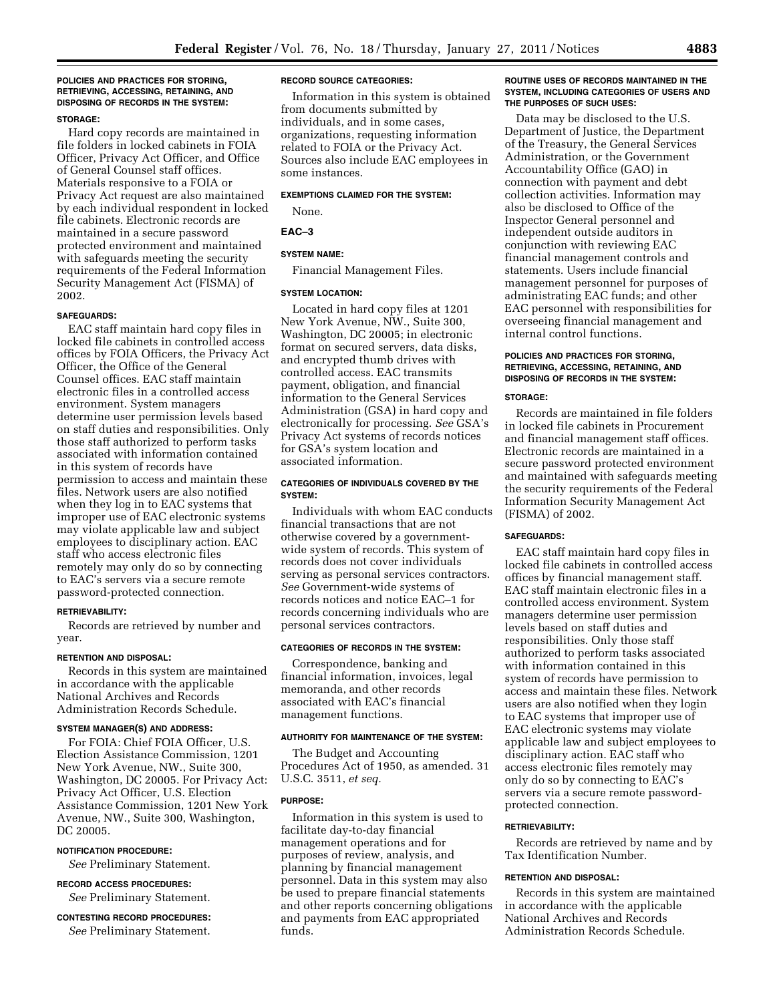#### **POLICIES AND PRACTICES FOR STORING, RETRIEVING, ACCESSING, RETAINING, AND DISPOSING OF RECORDS IN THE SYSTEM:**

# **STORAGE:**

Hard copy records are maintained in file folders in locked cabinets in FOIA Officer, Privacy Act Officer, and Office of General Counsel staff offices. Materials responsive to a FOIA or Privacy Act request are also maintained by each individual respondent in locked file cabinets. Electronic records are maintained in a secure password protected environment and maintained with safeguards meeting the security requirements of the Federal Information Security Management Act (FISMA) of 2002.

#### **SAFEGUARDS:**

EAC staff maintain hard copy files in locked file cabinets in controlled access offices by FOIA Officers, the Privacy Act Officer, the Office of the General Counsel offices. EAC staff maintain electronic files in a controlled access environment. System managers determine user permission levels based on staff duties and responsibilities. Only those staff authorized to perform tasks associated with information contained in this system of records have permission to access and maintain these files. Network users are also notified when they log in to EAC systems that improper use of EAC electronic systems may violate applicable law and subject employees to disciplinary action. EAC staff who access electronic files remotely may only do so by connecting to EAC's servers via a secure remote password-protected connection.

## **RETRIEVABILITY:**

Records are retrieved by number and year.

#### **RETENTION AND DISPOSAL:**

Records in this system are maintained in accordance with the applicable National Archives and Records Administration Records Schedule.

## **SYSTEM MANAGER(S) AND ADDRESS:**

For FOIA: Chief FOIA Officer, U.S. Election Assistance Commission, 1201 New York Avenue, NW., Suite 300, Washington, DC 20005. For Privacy Act: Privacy Act Officer, U.S. Election Assistance Commission, 1201 New York Avenue, NW., Suite 300, Washington, DC 20005.

#### **NOTIFICATION PROCEDURE:**

*See* Preliminary Statement.

**RECORD ACCESS PROCEDURES:**  *See* Preliminary Statement.

# **CONTESTING RECORD PROCEDURES:**  *See* Preliminary Statement.

#### **RECORD SOURCE CATEGORIES:**

Information in this system is obtained from documents submitted by individuals, and in some cases, organizations, requesting information related to FOIA or the Privacy Act. Sources also include EAC employees in some instances.

# **EXEMPTIONS CLAIMED FOR THE SYSTEM:**

None.

## **EAC–3**

# **SYSTEM NAME:**

Financial Management Files.

#### **SYSTEM LOCATION:**

Located in hard copy files at 1201 New York Avenue, NW., Suite 300, Washington, DC 20005; in electronic format on secured servers, data disks, and encrypted thumb drives with controlled access. EAC transmits payment, obligation, and financial information to the General Services Administration (GSA) in hard copy and electronically for processing. *See* GSA's Privacy Act systems of records notices for GSA's system location and associated information.

#### **CATEGORIES OF INDIVIDUALS COVERED BY THE SYSTEM:**

Individuals with whom EAC conducts financial transactions that are not otherwise covered by a governmentwide system of records. This system of records does not cover individuals serving as personal services contractors. *See* Government-wide systems of records notices and notice EAC–1 for records concerning individuals who are personal services contractors.

## **CATEGORIES OF RECORDS IN THE SYSTEM:**

Correspondence, banking and financial information, invoices, legal memoranda, and other records associated with EAC's financial management functions.

#### **AUTHORITY FOR MAINTENANCE OF THE SYSTEM:**

The Budget and Accounting Procedures Act of 1950, as amended. 31 U.S.C. 3511, *et seq.* 

#### **PURPOSE:**

Information in this system is used to facilitate day-to-day financial management operations and for purposes of review, analysis, and planning by financial management personnel. Data in this system may also be used to prepare financial statements and other reports concerning obligations and payments from EAC appropriated funds.

## **ROUTINE USES OF RECORDS MAINTAINED IN THE SYSTEM, INCLUDING CATEGORIES OF USERS AND THE PURPOSES OF SUCH USES:**

Data may be disclosed to the U.S. Department of Justice, the Department of the Treasury, the General Services Administration, or the Government Accountability Office (GAO) in connection with payment and debt collection activities. Information may also be disclosed to Office of the Inspector General personnel and independent outside auditors in conjunction with reviewing EAC financial management controls and statements. Users include financial management personnel for purposes of administrating EAC funds; and other EAC personnel with responsibilities for overseeing financial management and internal control functions.

#### **POLICIES AND PRACTICES FOR STORING, RETRIEVING, ACCESSING, RETAINING, AND DISPOSING OF RECORDS IN THE SYSTEM:**

#### **STORAGE:**

Records are maintained in file folders in locked file cabinets in Procurement and financial management staff offices. Electronic records are maintained in a secure password protected environment and maintained with safeguards meeting the security requirements of the Federal Information Security Management Act (FISMA) of 2002.

#### **SAFEGUARDS:**

EAC staff maintain hard copy files in locked file cabinets in controlled access offices by financial management staff. EAC staff maintain electronic files in a controlled access environment. System managers determine user permission levels based on staff duties and responsibilities. Only those staff authorized to perform tasks associated with information contained in this system of records have permission to access and maintain these files. Network users are also notified when they login to EAC systems that improper use of EAC electronic systems may violate applicable law and subject employees to disciplinary action. EAC staff who access electronic files remotely may only do so by connecting to EAC's servers via a secure remote passwordprotected connection.

#### **RETRIEVABILITY:**

Records are retrieved by name and by Tax Identification Number.

#### **RETENTION AND DISPOSAL:**

Records in this system are maintained in accordance with the applicable National Archives and Records Administration Records Schedule.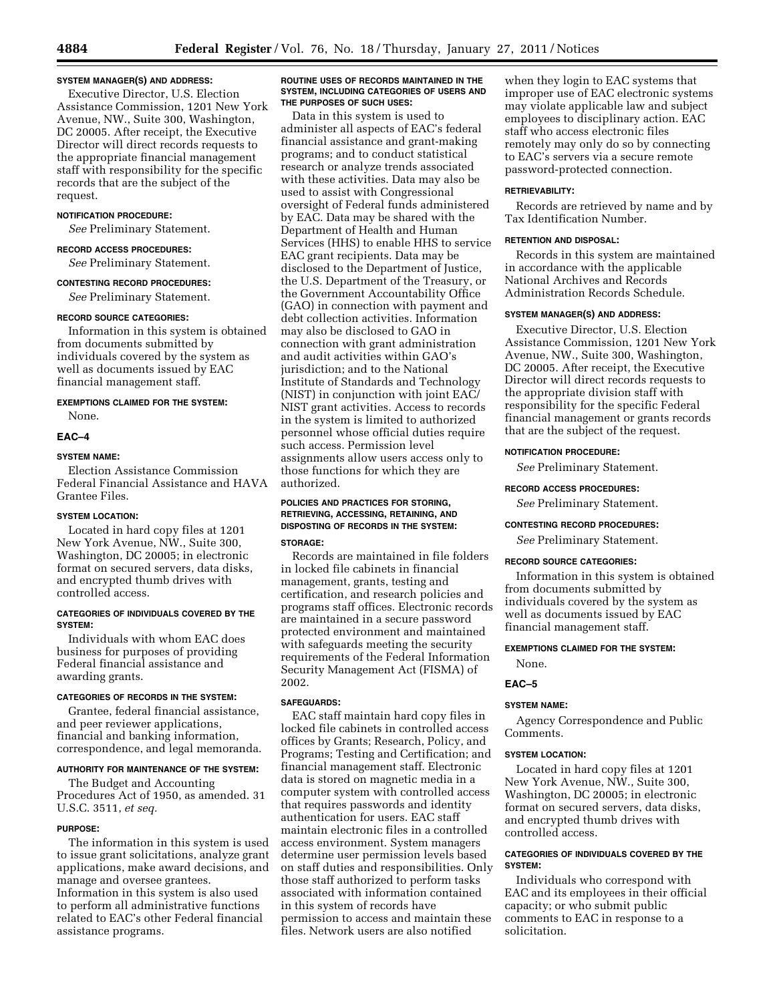## **SYSTEM MANAGER(S) AND ADDRESS:**

Executive Director, U.S. Election Assistance Commission, 1201 New York Avenue, NW., Suite 300, Washington, DC 20005. After receipt, the Executive Director will direct records requests to the appropriate financial management staff with responsibility for the specific records that are the subject of the request.

# **NOTIFICATION PROCEDURE:**

*See* Preliminary Statement.

# **RECORD ACCESS PROCEDURES:**

*See* Preliminary Statement.

# **CONTESTING RECORD PROCEDURES:**

*See* Preliminary Statement.

#### **RECORD SOURCE CATEGORIES:**

Information in this system is obtained from documents submitted by individuals covered by the system as well as documents issued by EAC financial management staff.

## **EXEMPTIONS CLAIMED FOR THE SYSTEM:**

# None.

## **EAC–4**

# **SYSTEM NAME:**

Election Assistance Commission Federal Financial Assistance and HAVA Grantee Files.

# **SYSTEM LOCATION:**

Located in hard copy files at 1201 New York Avenue, NW., Suite 300, Washington, DC 20005; in electronic format on secured servers, data disks, and encrypted thumb drives with controlled access.

# **CATEGORIES OF INDIVIDUALS COVERED BY THE SYSTEM:**

Individuals with whom EAC does business for purposes of providing Federal financial assistance and awarding grants.

# **CATEGORIES OF RECORDS IN THE SYSTEM:**

Grantee, federal financial assistance, and peer reviewer applications, financial and banking information, correspondence, and legal memoranda.

## **AUTHORITY FOR MAINTENANCE OF THE SYSTEM:**

The Budget and Accounting Procedures Act of 1950, as amended. 31 U.S.C. 3511, *et seq.* 

## **PURPOSE:**

The information in this system is used to issue grant solicitations, analyze grant applications, make award decisions, and manage and oversee grantees. Information in this system is also used to perform all administrative functions related to EAC's other Federal financial assistance programs.

## **ROUTINE USES OF RECORDS MAINTAINED IN THE SYSTEM, INCLUDING CATEGORIES OF USERS AND THE PURPOSES OF SUCH USES:**

Data in this system is used to administer all aspects of EAC's federal financial assistance and grant-making programs; and to conduct statistical research or analyze trends associated with these activities. Data may also be used to assist with Congressional oversight of Federal funds administered by EAC. Data may be shared with the Department of Health and Human Services (HHS) to enable HHS to service EAC grant recipients. Data may be disclosed to the Department of Justice, the U.S. Department of the Treasury, or the Government Accountability Office (GAO) in connection with payment and debt collection activities. Information may also be disclosed to GAO in connection with grant administration and audit activities within GAO's jurisdiction; and to the National Institute of Standards and Technology (NIST) in conjunction with joint EAC/ NIST grant activities. Access to records in the system is limited to authorized personnel whose official duties require such access. Permission level assignments allow users access only to those functions for which they are authorized.

## **POLICIES AND PRACTICES FOR STORING, RETRIEVING, ACCESSING, RETAINING, AND DISPOSTING OF RECORDS IN THE SYSTEM: STORAGE:**

Records are maintained in file folders in locked file cabinets in financial management, grants, testing and certification, and research policies and programs staff offices. Electronic records are maintained in a secure password protected environment and maintained with safeguards meeting the security requirements of the Federal Information Security Management Act (FISMA) of 2002.

# **SAFEGUARDS:**

EAC staff maintain hard copy files in locked file cabinets in controlled access offices by Grants; Research, Policy, and Programs; Testing and Certification; and financial management staff. Electronic data is stored on magnetic media in a computer system with controlled access that requires passwords and identity authentication for users. EAC staff maintain electronic files in a controlled access environment. System managers determine user permission levels based on staff duties and responsibilities. Only those staff authorized to perform tasks associated with information contained in this system of records have permission to access and maintain these files. Network users are also notified

when they login to EAC systems that improper use of EAC electronic systems may violate applicable law and subject employees to disciplinary action. EAC staff who access electronic files remotely may only do so by connecting to EAC's servers via a secure remote password-protected connection.

#### **RETRIEVABILITY:**

Records are retrieved by name and by Tax Identification Number.

#### **RETENTION AND DISPOSAL:**

Records in this system are maintained in accordance with the applicable National Archives and Records Administration Records Schedule.

# **SYSTEM MANAGER(S) AND ADDRESS:**

Executive Director, U.S. Election Assistance Commission, 1201 New York Avenue, NW., Suite 300, Washington, DC 20005. After receipt, the Executive Director will direct records requests to the appropriate division staff with responsibility for the specific Federal financial management or grants records that are the subject of the request.

## **NOTIFICATION PROCEDURE:**

*See* Preliminary Statement.

## **RECORD ACCESS PROCEDURES:**

*See* Preliminary Statement.

# **CONTESTING RECORD PROCEDURES:**

*See* Preliminary Statement.

# **RECORD SOURCE CATEGORIES:**

Information in this system is obtained from documents submitted by individuals covered by the system as well as documents issued by EAC financial management staff.

## **EXEMPTIONS CLAIMED FOR THE SYSTEM:**

None.

## **EAC–5**

## **SYSTEM NAME:**

Agency Correspondence and Public Comments.

#### **SYSTEM LOCATION:**

Located in hard copy files at 1201 New York Avenue, NW., Suite 300, Washington, DC 20005; in electronic format on secured servers, data disks, and encrypted thumb drives with controlled access.

# **CATEGORIES OF INDIVIDUALS COVERED BY THE SYSTEM:**

Individuals who correspond with EAC and its employees in their official capacity; or who submit public comments to EAC in response to a solicitation.